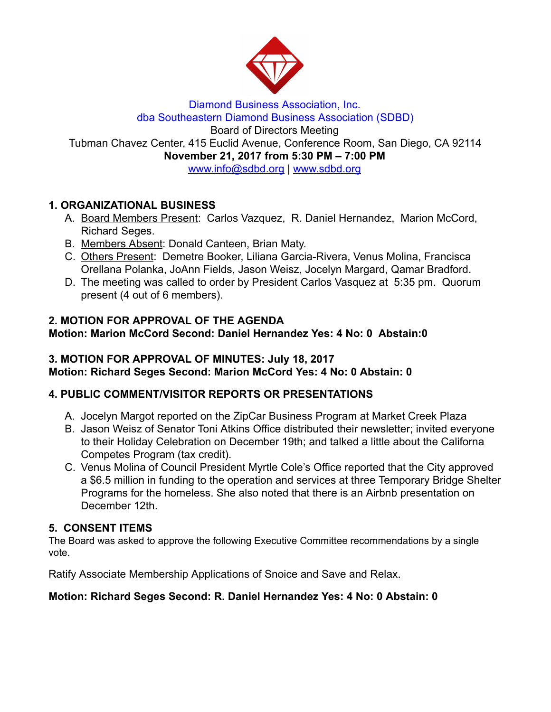

### Diamond Business Association, Inc. dba Southeastern Diamond Business Association (SDBD) Board of Directors Meeting Tubman Chavez Center, 415 Euclid Avenue, Conference Room, San Diego, CA 92114 November 21, 2017 from 5:30 PM – 7:00 PM www.info@sdbd.org| [www.sdbd.org](http://www.sdbd.org/)

# 1. ORGANIZATIONAL BUSINESS

- A. Board Members Present: Carlos Vazquez, R. Daniel Hernandez, Marion McCord, Richard Seges.
- B. Members Absent: Donald Canteen, Brian Maty.
- C. Others Present: Demetre Booker, Liliana Garcia-Rivera, Venus Molina, Francisca Orellana Polanka, JoAnn Fields, Jason Weisz, Jocelyn Margard, Qamar Bradford.
- D. The meeting was called to order by President Carlos Vasquez at 5:35 pm. Quorum present (4 out of 6 members).

## 2. MOTION FOR APPROVAL OF THE AGENDA

Motion: Marion McCord Second: Daniel Hernandez Yes: 4 No: 0 Abstain:0

# 3. MOTION FOR APPROVAL OF MINUTES: July 18, 2017

Motion: Richard Seges Second: Marion McCord Yes: 4 No: 0 Abstain: 0

### 4. PUBLIC COMMENT/VISITOR REPORTS OR PRESENTATIONS

- A. Jocelyn Margot reported on the ZipCar Business Program at Market Creek Plaza
- B. Jason Weisz of Senator Toni Atkins Office distributed their newsletter; invited everyone to their Holiday Celebration on December 19th; and talked a little about the Californa Competes Program (tax credit).
- C. Venus Molina of Council President Myrtle Cole's Office reported that the City approved a \$6.5 million in funding to the operation and services at three Temporary Bridge Shelter Programs for the homeless. She also noted that there is an Airbnb presentation on December 12th.

### 5. CONSENT ITEMS

The Board was asked to approve the following Executive Committee recommendations by a single vote.

Ratify Associate Membership Applications of Snoice and Save and Relax.

### Motion: Richard Seges Second: R. Daniel Hernandez Yes: 4 No: 0 Abstain: 0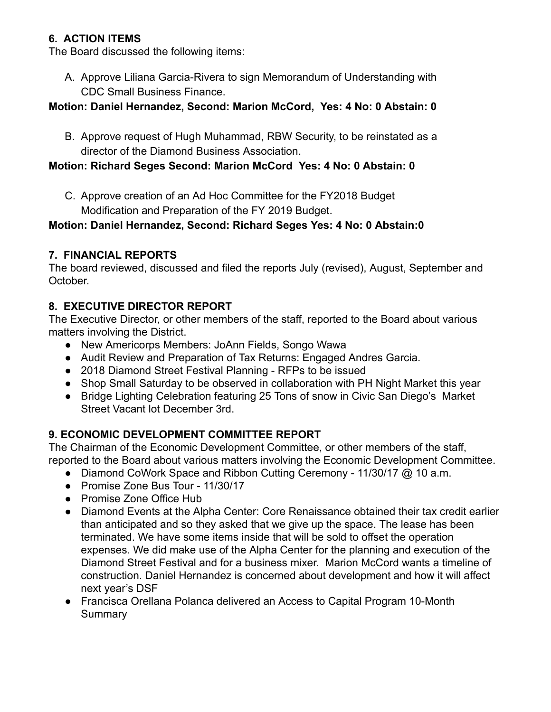# 6. ACTION ITEMS

The Board discussed the following items:

A. Approve Liliana Garcia-Rivera to sign Memorandum of Understanding with CDC Small Business Finance.

## Motion: Daniel Hernandez, Second: Marion McCord, Yes: 4 No: 0 Abstain: 0

B. Approve request of Hugh Muhammad, RBW Security, to be reinstated as a director of the Diamond Business Association.

## Motion: Richard Seges Second: Marion McCord Yes: 4 No: 0 Abstain: 0

C. Approve creation of an Ad Hoc Committee for the FY2018 Budget Modification and Preparation of the FY 2019 Budget.

## Motion: Daniel Hernandez, Second: Richard Seges Yes: 4 No: 0 Abstain:0

## 7. FINANCIAL REPORTS

The board reviewed, discussed and filed the reports July (revised), August, September and October.

## 8. EXECUTIVE DIRECTOR REPORT

The Executive Director, or other members of the staff, reported to the Board about various matters involving the District.

- New Americorps Members: JoAnn Fields, Songo Wawa
- Audit Review and Preparation of Tax Returns: Engaged Andres Garcia.
- 2018 Diamond Street Festival Planning RFPs to be issued
- Shop Small Saturday to be observed in collaboration with PH Night Market this year
- Bridge Lighting Celebration featuring 25 Tons of snow in Civic San Diego's Market Street Vacant lot December 3rd.

# 9. ECONOMIC DEVELOPMENT COMMITTEE REPORT

The Chairman of the Economic Development Committee, or other members of the staff, reported to the Board about various matters involving the Economic Development Committee.

- Diamond CoWork Space and Ribbon Cutting Ceremony 11/30/17 @ 10 a.m.
- Promise Zone Bus Tour 11/30/17
- Promise Zone Office Hub
- Diamond Events at the Alpha Center: Core Renaissance obtained their tax credit earlier than anticipated and so they asked that we give up the space. The lease has been terminated. We have some items inside that will be sold to offset the operation expenses. We did make use of the Alpha Center for the planning and execution of the Diamond Street Festival and for a business mixer. Marion McCord wants a timeline of construction. Daniel Hernandez is concerned about development and how it will affect next year's DSF
- Francisca Orellana Polanca delivered an Access to Capital Program 10-Month **Summary**